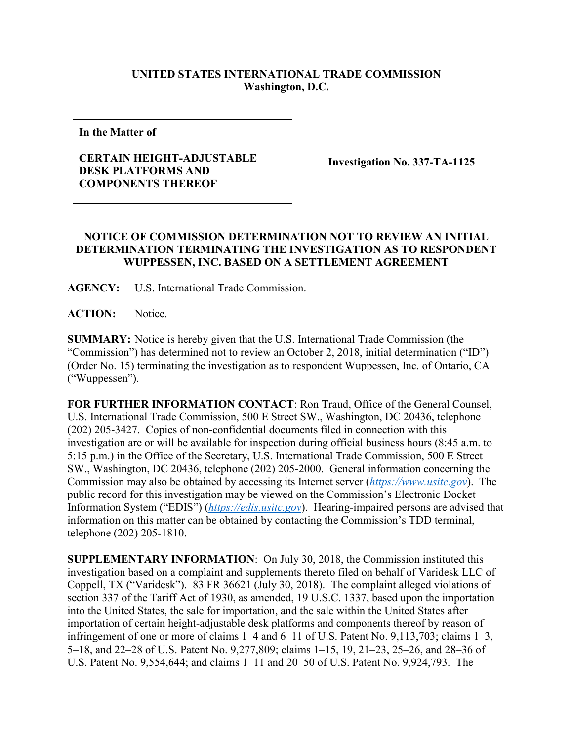## **UNITED STATES INTERNATIONAL TRADE COMMISSION Washington, D.C.**

**In the Matter of**

## **CERTAIN HEIGHT-ADJUSTABLE DESK PLATFORMS AND COMPONENTS THEREOF**

**Investigation No. 337-TA-1125**

## **NOTICE OF COMMISSION DETERMINATION NOT TO REVIEW AN INITIAL DETERMINATION TERMINATING THE INVESTIGATION AS TO RESPONDENT WUPPESSEN, INC. BASED ON A SETTLEMENT AGREEMENT**

**AGENCY:** U.S. International Trade Commission.

**ACTION:** Notice.

**SUMMARY:** Notice is hereby given that the U.S. International Trade Commission (the "Commission") has determined not to review an October 2, 2018, initial determination ("ID") (Order No. 15) terminating the investigation as to respondent Wuppessen, Inc. of Ontario, CA ("Wuppessen").

**FOR FURTHER INFORMATION CONTACT**: Ron Traud, Office of the General Counsel, U.S. International Trade Commission, 500 E Street SW., Washington, DC 20436, telephone (202) 205-3427. Copies of non-confidential documents filed in connection with this investigation are or will be available for inspection during official business hours (8:45 a.m. to 5:15 p.m.) in the Office of the Secretary, U.S. International Trade Commission, 500 E Street SW., Washington, DC 20436, telephone (202) 205-2000. General information concerning the Commission may also be obtained by accessing its Internet server (*[https://www.usitc.gov](https://www.usitc.gov/)*). The public record for this investigation may be viewed on the Commission's Electronic Docket Information System ("EDIS") (*[https://edis.usitc.gov](https://edis.usitc.gov/)*). Hearing-impaired persons are advised that information on this matter can be obtained by contacting the Commission's TDD terminal, telephone (202) 205-1810.

**SUPPLEMENTARY INFORMATION**: On July 30, 2018, the Commission instituted this investigation based on a complaint and supplements thereto filed on behalf of Varidesk LLC of Coppell, TX ("Varidesk"). 83 FR 36621 (July 30, 2018). The complaint alleged violations of section 337 of the Tariff Act of 1930, as amended, 19 U.S.C. 1337, based upon the importation into the United States, the sale for importation, and the sale within the United States after importation of certain height-adjustable desk platforms and components thereof by reason of infringement of one or more of claims 1–4 and 6–11 of U.S. Patent No. 9,113,703; claims 1–3, 5–18, and 22–28 of U.S. Patent No. 9,277,809; claims 1–15, 19, 21–23, 25–26, and 28–36 of U.S. Patent No. 9,554,644; and claims 1–11 and 20–50 of U.S. Patent No. 9,924,793. The